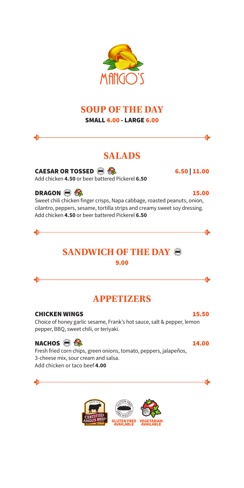## **SOUP OF THE DAY**

SMALL 4.00 - LARGE 6.00

## **SALADS**

CAESAR OR TOSSED  $\bigotimes$   $\bigotimes$  6.50 | 11.00 Add chicken **4.50** or beer battered Pickerel **6.50**

DRAGON  $\bigcirc$   $\bigcirc$   $\bigcirc$ Sweet chili chicken finger crisps, Napa cabbage, roasted peanuts, onion, cilantro, peppers, sesame, tortilla strips and creamy sweet soy dressing. Add chicken **4.50** or beer battered Pickerel **6.50**

## **SANDWICH OF THE DAY** 9.00

## **APPETIZERS**

CHICKEN WINGS 15.50 Choice of honey garlic sesame, Frank's hot sauce, salt & pepper, lemon pepper, BBQ, sweet chili, or teriyaki.

NACHOS  $\bigcirc$   $\bigcirc$   $\bigcirc$ Fresh fried corn chips, green onions, tomato, peppers, jalapeños, 3-cheese mix, sour cream and salsa. Add chicken or taco beef **4.00**







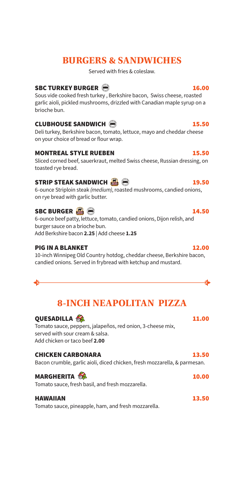## **BURGERS & SANDWICHES**

Served with fries & coleslaw.

### SBC TURKEY BURGER  $\bigcirc$

Sous vide cooked fresh turkey , Berkshire bacon, Swiss cheese, roasted garlic aioli, pickled mushrooms, drizzled with Canadian maple syrup on a brioche bun.

### CLUBHOUSE SANDWICH  $\bigcirc$

Deli turkey, Berkshire bacon, tomato, lettuce, mayo and cheddar cheese on your choice of bread or flour wrap.

### MONTREAL STYLE RUEBEN 15.50

Sliced corned beef, sauerkraut, melted Swiss cheese, Russian dressing, on toasted rye bread.

### STRIP STEAK SANDWICH  $\Box$   $\bigcirc$

6-ounce Striploin steak *(medium)*, roasted mushrooms, candied onions, on rye bread with garlic butter.

### SBC BURGER  $\Box$   $\Box$

6-ounce beef patty, lettuce, tomato, candied onions, Dijon relish, and burger sauce on a brioche bun. Add Berkshire bacon **2.25** | Add cheese **1.25**

### PIG IN A BLANKET 12.00

10-inch Winnipeg Old Country hotdog, cheddar cheese, Berkshire bacon, candied onions. Served in frybread with ketchup and mustard.

## **8-INCH NEAPOLITAN PIZZA**

### QUESADILLA  $\frac{11.00}{2}$

 $\bullet$ 

Tomato sauce, peppers, jalapeños, red onion, 3-cheese mix, served with sour cream & salsa. Add chicken or taco beef **2.00**

| <b>CHICKEN CARBONARA</b>                                                  | 13.50 |
|---------------------------------------------------------------------------|-------|
| Bacon crumble, garlic aioli, diced chicken, fresh mozzarella, & parmesan. |       |

### MARGHERITA  $\frac{10.00}{10.00}$

Tomato sauce, fresh basil, and fresh mozzarella.

### HAWAIIAN 13.50

Tomato sauce, pineapple, ham, and fresh mozzarella.

€►

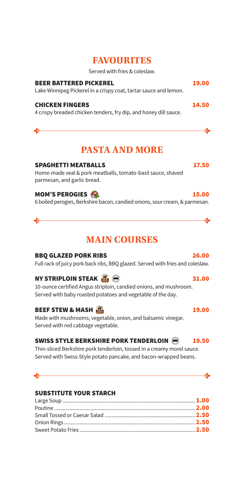## **FAVOURITES**

Served with fries & coleslaw.

| <b>BEER BATTERED PICKEREL</b><br>Lake Winnipeg Pickerel in a crispy coat, tartar sauce and lemon. | 19.00 |
|---------------------------------------------------------------------------------------------------|-------|
| <b>CHICKEN FINGERS</b><br>4 crispy breaded chicken tenders, fry dip, and honey dill sauce.        | 14.50 |

## **PASTA AND MORE**

#### SPAGHETTI MEATBALLS 17.50

Home-made veal & pork meatballs, tomato-basil sauce, shaved parmesan, and garlic bread.

### MOM'S PEROGIES  $\bigotimes$

6 boiled perogies, Berkshire bacon, candied onions, sour cream, & parmesan.

## **MAIN COURSES**

### BBQ GLAZED PORK RIBS 26.00

Full rack of juicy pork back ribs, BBQ glazed. Served with fries and coleslaw.

### NY STRIPLOIN STEAK  $\Box$   $\Box$   $\Box$   $\Box$  31.00

10-ounce certified Angus striploin, candied onions, and mushroom. Served with baby roasted potatoes and vegetable of the day.

### BEEF STEW & MASH  $\Box$  and the state of  $\Box$  19.00

Made with mushrooms, vegetable, onion, and balsamic vinegar. Served with red cabbage vegetable.

### SWISS STYLE BERKSHIRE PORK TENDERLOIN 29 19.50

Thin-sliced Berkshire pork tenderloin, tossed in a creamy morel sauce. Served with Swiss-Style potato pancake, and bacon-wrapped beans.

### SUBSTITUTE YOUR STARCH

€

€►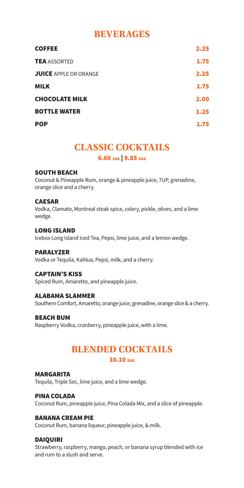## **BEVERAGES**

| <b>COFFEE</b>                | 2.25 |
|------------------------------|------|
| <b>TEA</b> ASSORTED          | 1.75 |
| <b>JUICE APPLE OR ORANGE</b> | 2.25 |
| <b>MILK</b>                  | 1.75 |
| <b>CHOCOLATE MILK</b>        | 2.00 |
| <b>BOTTLE WATER</b>          | 1.25 |
| <b>POP</b>                   | 1.75 |

## **CLASSIC COCKTAILS** 6.60 1oz | 9.85 2oz

#### SOUTH BEACH

Coconut & Pineapple Rum, orange & pineapple juice, 7UP, grenadine, orange slice and a cherry.

#### CAESAR

Vodka, Clamato, Montreal steak spice, celery, pickle, olives, and a lime wedge.

#### LONG ISLAND

Icebox Long Island Iced Tea, Pepsi, lime juice, and a lemon wedge.

#### PARALYZER

Vodka or Tequila, Kahlua, Pepsi, milk, and a cherry.

#### CAPTAIN'S KISS

Spiced Rum, Amaretto, and pineapple juice.

#### ALABAMA SLAMMER

Southern Comfort, Amaretto, orange juice, grenadine, orange slice & a cherry.

#### BEACH BUM

Raspberry Vodka, cranberry, pineapple juice, with a lime.

# **BLENDED COCKTAILS**

### 10.10 2oz

#### MARGARITA

Tequila, Triple Sec, lime juice, and a lime wedge.

#### PINA COLADA

Coconut Rum, pineapple juice, Pina Colada Mix, and a slice of pineapple.

#### BANANA CREAM PIE

Coconut Rum, banana liqueur, pineapple juice, & milk.

### DAIQUIRI

Strawberry, raspberry, mango, peach, or banana syrup blended with ice and rum to a slush and serve.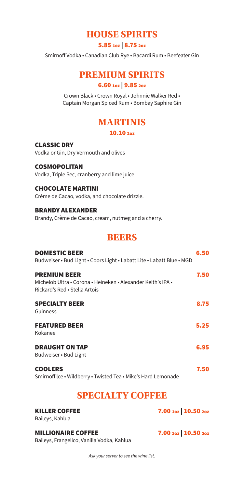## **HOUSE SPIRITS**

5.85 1oz | 8.75 2oz

Smirnoff Vodka • Canadian Club Rye • Bacardi Rum • Beefeater Gin

## **PREMIUM SPIRITS**

### 6.60 1oz | 9.85 2oz

Crown Black • Crown Royal • Johnnie Walker Red • Captain Morgan Spiced Rum • Bombay Saphire Gin

## **MARTINIS** 10.10 2oz

CLASSIC DRY Vodka or Gin, Dry Vermouth and olives

COSMOPOLITAN Vodka, Triple Sec, cranberry and lime juice.

CHOCOLATE MARTINI Crème de Cacao, vodka, and chocolate drizzle.

BRANDY ALEXANDER Brandy, Crème de Cacao, cream, nutmeg and a cherry.

## **BEERS**

| <b>DOMESTIC BEER</b><br>Budweiser • Bud Light • Coors Light • Labatt Lite • Labatt Blue • MGD                        | 6.50 |
|----------------------------------------------------------------------------------------------------------------------|------|
| <b>PREMIUM BEER</b><br>Michelob Ultra • Corona • Heineken • Alexander Keith's IPA •<br>Rickard's Red • Stella Artois | 7.50 |
| <b>SPECIALTY BEER</b><br>Guinness                                                                                    | 8.75 |
| <b>FEATURED BEER</b><br>Kokanee                                                                                      | 5.25 |
| <b>DRAUGHT ON TAP</b><br>Budweiser • Bud Light                                                                       | 6.95 |
| <b>COOLERS</b><br>Smirnoff Ice . Wildberry . Twisted Tea . Mike's Hard Lemonade                                      | 7.50 |

## **SPECIALTY COFFEE**

| <b>KILLER COFFEE</b><br>Baileys, Kahlua                                 | 7.00 10z 10.50 20z |
|-------------------------------------------------------------------------|--------------------|
| <b>MILLIONAIRE COFFEE</b><br>Baileys, Frangelico, Vanilla Vodka, Kahlua | 7.00 10z 10.50 20z |

*Ask your server to see the wine list.*